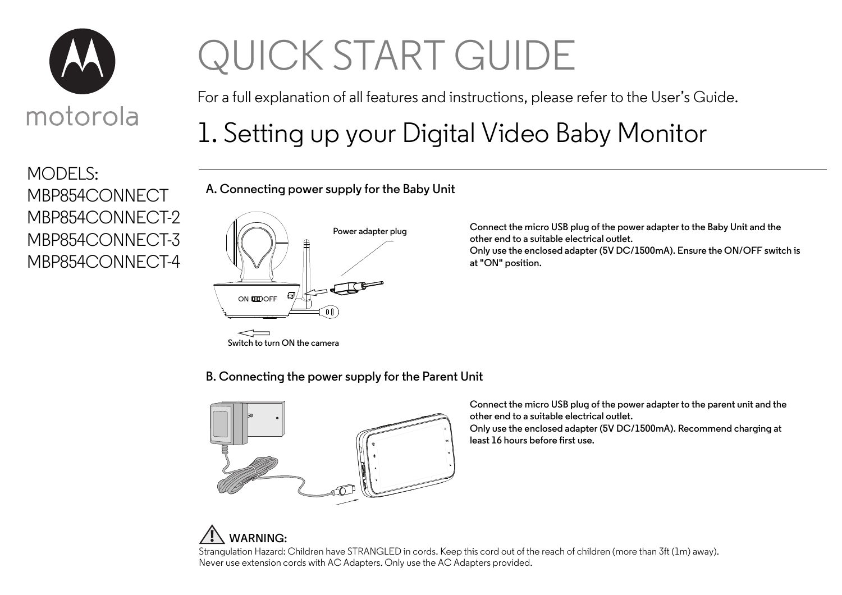

MODELS:

# QUICK START GUIDE

For a full explanation of all features and instructions, please refer to the User's Guide.

### 1. Setting up your Digital Video Baby Monitor

**A. Connecting power supply for the Baby Unit**

#### MBP854CONNECT MBP854CONNECT-2 MBP854CONNECT-3 MBP854CONNECT-4



**Connect the micro USB plug of the power adapter to the Baby Unit and the other end to a suitable electrical outlet. Only use the enclosed adapter (5V DC/1500mA). Ensure the ON/OFF switch is at "ON" position.**

**B. Connecting the power supply for the Parent Unit**



**WARNING:**

**Connect the micro USB plug of the power adapter to the parent unit and the other end to a suitable electrical outlet. Only use the enclosed adapter (5V DC/1500mA). Recommend charging at least 16 hours before first use.**

Strangulation Hazard: Children have STRANGLED in cords. Keep this cord out of the reach of children (more than 3ft (1m) away). Never use extension cords with AC Adapters. Only use the AC Adapters provided.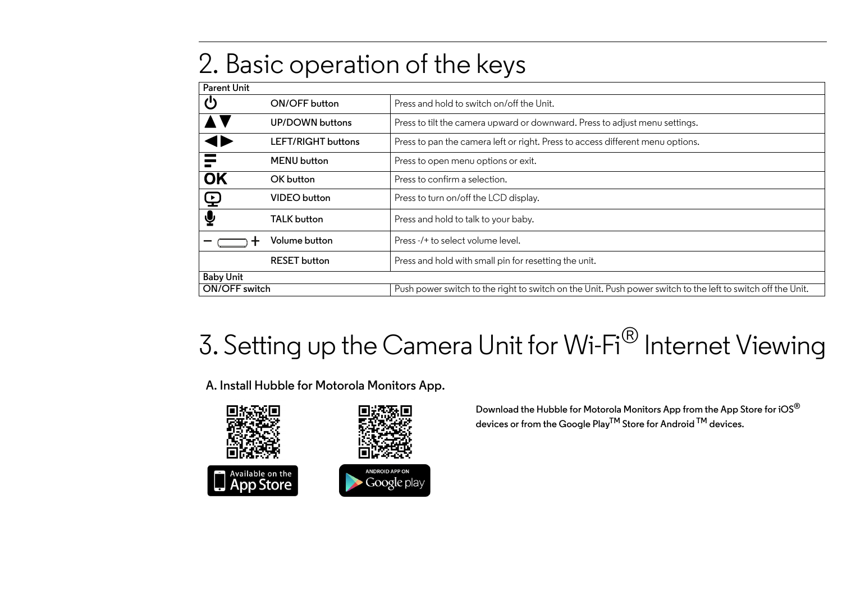#### 2. Basic operation of the keys

| <b>Parent Unit</b> |                     |                                                                                                             |
|--------------------|---------------------|-------------------------------------------------------------------------------------------------------------|
| Ü                  | ON/OFF button       | Press and hold to switch on/off the Unit.                                                                   |
|                    | UP/DOWN buttons     | Press to tilt the camera upward or downward. Press to adjust menu settings.                                 |
|                    | LEFT/RIGHT buttons  | Press to pan the camera left or right. Press to access different menu options.                              |
|                    | <b>MENU</b> button  | Press to open menu options or exit.                                                                         |
| OK                 | OK button           | Press to confirm a selection.                                                                               |
| $\bf \Phi$         | <b>VIDEO</b> button | Press to turn on/off the LCD display.                                                                       |
| ⊻                  | TALK button         | Press and hold to talk to your baby.                                                                        |
|                    | Volume button       | Press-/+ to select volume level.                                                                            |
|                    | <b>RESET</b> button | Press and hold with small pin for resetting the unit.                                                       |
| <b>Baby Unit</b>   |                     |                                                                                                             |
| ON/OFF switch      |                     | Push power switch to the right to switch on the Unit. Push power switch to the left to switch off the Unit. |

## 3. Setting up the Camera Unit for Wi-Fi<sup>®</sup> Internet Viewing

**A. Install Hubble for Motorola Monitors App.**



**Download the Hubble for Motorola Monitors App from the App Store for iOS® devices or from the Google PlayTM Store for Android TM devices.**